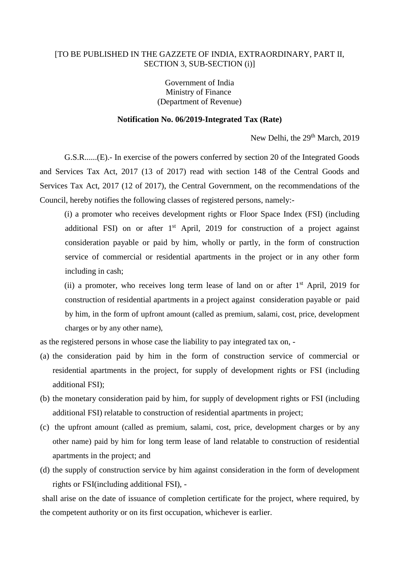## [TO BE PUBLISHED IN THE GAZZETE OF INDIA, EXTRAORDINARY, PART II, SECTION 3, SUB-SECTION (i)]

Government of India Ministry of Finance (Department of Revenue)

## **Notification No. 06/2019-Integrated Tax (Rate)**

New Delhi, the 29<sup>th</sup> March, 2019

G.S.R......(E).- In exercise of the powers conferred by section 20 of the Integrated Goods and Services Tax Act, 2017 (13 of 2017) read with section 148 of the Central Goods and Services Tax Act, 2017 (12 of 2017), the Central Government, on the recommendations of the Council, hereby notifies the following classes of registered persons, namely:-

(i) a promoter who receives development rights or Floor Space Index (FSI) (including additional FSI) on or after 1<sup>st</sup> April, 2019 for construction of a project against consideration payable or paid by him, wholly or partly, in the form of construction service of commercial or residential apartments in the project or in any other form including in cash;

(ii) a promoter, who receives long term lease of land on or after  $1<sup>st</sup>$  April, 2019 for construction of residential apartments in a project against consideration payable or paid by him, in the form of upfront amount (called as premium, salami, cost, price, development charges or by any other name),

as the registered persons in whose case the liability to pay integrated tax on, -

- (a) the consideration paid by him in the form of construction service of commercial or residential apartments in the project, for supply of development rights or FSI (including additional FSI);
- (b) the monetary consideration paid by him, for supply of development rights or FSI (including additional FSI) relatable to construction of residential apartments in project;
- (c) the upfront amount (called as premium, salami, cost, price, development charges or by any other name) paid by him for long term lease of land relatable to construction of residential apartments in the project; and
- (d) the supply of construction service by him against consideration in the form of development rights or FSI(including additional FSI), -

shall arise on the date of issuance of completion certificate for the project, where required, by the competent authority or on its first occupation, whichever is earlier.